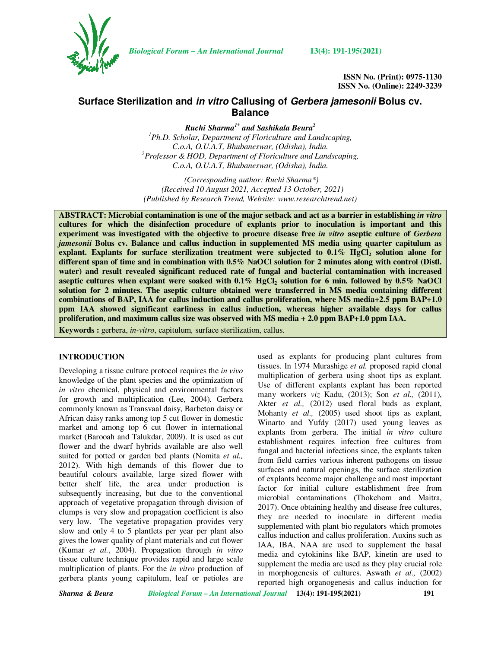

*Biological Forum – An International Journal* **13(4): 191-195(2021)**

**ISSN No. (Print): 0975-1130 ISSN No. (Online): 2249-3239** 

# **Surface Sterilization and in vitro Callusing of Gerbera jamesonii Bolus cv. Balance**

*Ruchi Sharma1\* and Sashikala Beura<sup>2</sup>*

*<sup>1</sup>Ph.D. Scholar, Department of Floriculture and Landscaping, C.o.A, O.U.A.T, Bhubaneswar, (Odisha), India. <sup>2</sup>Professor & HOD, Department of Floriculture and Landscaping, C.o.A, O.U.A.T, Bhubaneswar, (Odisha), India.* 

 *(Corresponding author: Ruchi Sharma\*) (Received 10 August 2021, Accepted 13 October, 2021) (Published by Research Trend, Website: www.researchtrend.net)* 

**ABSTRACT: Microbial contamination is one of the major setback and act as a barrier in establishing** *in vitro*  **cultures for which the disinfection procedure of explants prior to inoculation is important and this experiment was investigated with the objective to procure disease free** *in vitro* **aseptic culture of** *Gerbera jamesonii* **Bolus cv. Balance and callus induction in supplemented MS media using quarter capitulum as explant. Explants for surface sterilization treatment were subjected to 0.1% HgCl2 solution alone for different span of time and in combination with 0.5% NaOCl solution for 2 minutes along with control (Distl. water) and result revealed significant reduced rate of fungal and bacterial contamination with increased aseptic cultures when explant were soaked with 0.1% HgCl2 solution for 6 min. followed by 0.5% NaOCl solution for 2 minutes. The aseptic culture obtained were transferred in MS media containing different combinations of BAP, IAA for callus induction and callus proliferation, where MS media+2.5 ppm BAP+1.0 ppm IAA showed significant earliness in callus induction, whereas higher available days for callus proliferation, and maximum callus size was observed with MS media + 2.0 ppm BAP+1.0 ppm IAA.** 

**Keywords :** gerbera, *in-vitro*, capitulum*,* surface sterilization, callus.

## **INTRODUCTION**

Developing a tissue culture protocol requires the *in vivo*  knowledge of the plant species and the optimization of *in vitro* chemical, physical and environmental factors for growth and multiplication (Lee, 2004). Gerbera commonly known as Transvaal daisy, Barbeton daisy or African daisy ranks among top 5 cut flower in domestic market and among top 6 cut flower in international market (Barooah and Talukdar, 2009). It is used as cut flower and the dwarf hybrids available are also well suited for potted or garden bed plants (Nomita *et al.,*  2012). With high demands of this flower due to beautiful colours available, large sized flower with better shelf life, the area under production is subsequently increasing, but due to the conventional approach of vegetative propagation through division of clumps is very slow and propagation coefficient is also very low. The vegetative propagation provides very slow and only 4 to 5 plantlets per year per plant also gives the lower quality of plant materials and cut flower (Kumar *et al.*, 2004). Propagation through *in vitro* tissue culture technique provides rapid and large scale multiplication of plants. For the *in vitro* production of gerbera plants young capitulum, leaf or petioles are

used as explants for producing plant cultures from tissues. In 1974 Murashige *et al.* proposed rapid clonal multiplication of gerbera using shoot tips as explant. Use of different explants explant has been reported many workers *viz* Kadu, (2013); Son *et al.,* (2011), Akter *et al.*, (2012) used floral buds as explant, Mohanty *et al.,* (2005) used shoot tips as explant, Winarto and Yufdy (2017) used young leaves as explants from gerbera. The initial *in vitro* culture establishment requires infection free cultures from fungal and bacterial infections since, the explants taken from field carries various inherent pathogens on tissue surfaces and natural openings, the surface sterilization of explants become major challenge and most important factor for initial culture establishment free from microbial contaminations (Thokchom and Maitra, 2017). Once obtaining healthy and disease free cultures, they are needed to inoculate in different media supplemented with plant bio regulators which promotes callus induction and callus proliferation. Auxins such as IAA, IBA, NAA are used to supplement the basal media and cytokinins like BAP, kinetin are used to supplement the media are used as they play crucial role in morphogenesis of cultures. Aswath *et al.,* (2002) reported high organogenesis and callus induction for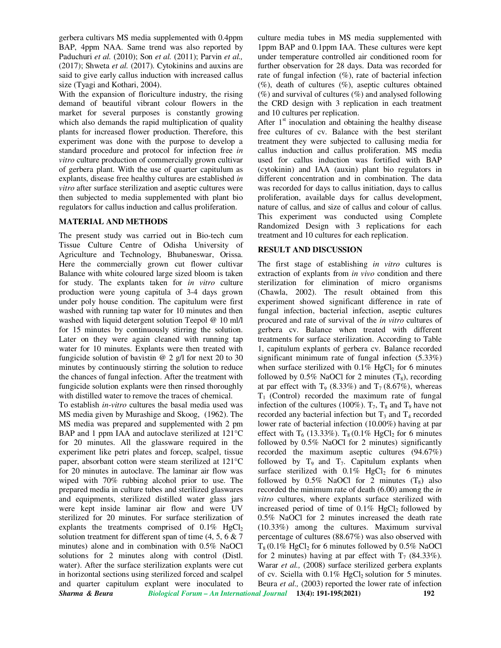gerbera cultivars MS media supplemented with 0.4ppm BAP, 4ppm NAA. Same trend was also reported by Paduchuri *et al.* (2010); Son *et al.* (2011); Parvin *et al.,*  (2017); Shweta *et al.* (2017). Cytokinins and auxins are said to give early callus induction with increased callus size (Tyagi and Kothari, 2004).

With the expansion of floriculture industry, the rising demand of beautiful vibrant colour flowers in the market for several purposes is constantly growing which also demands the rapid multiplication of quality plants for increased flower production. Therefore, this experiment was done with the purpose to develop a standard procedure and protocol for infection free *in vitro* culture production of commercially grown cultivar of gerbera plant. With the use of quarter capitulum as explants, disease free healthy cultures are established *in vitro* after surface sterilization and aseptic cultures were then subjected to media supplemented with plant bio regulators for callus induction and callus proliferation.

#### **MATERIAL AND METHODS**

The present study was carried out in Bio-tech cum Tissue Culture Centre of Odisha University of Agriculture and Technology, Bhubaneswar, Orissa. Here the commercially grown cut flower cultivar Balance with white coloured large sized bloom is taken for study. The explants taken for *in vitro* culture production were young capitula of 3-4 days grown under poly house condition. The capitulum were first washed with running tap water for 10 minutes and then washed with liquid detergent solution Teepol @ 10 ml/l for 15 minutes by continuously stirring the solution. Later on they were again cleaned with running tap water for 10 minutes. Explants were then treated with fungicide solution of bavistin  $\omega$  2 g/l for next 20 to 30 minutes by continuously stirring the solution to reduce the chances of fungal infection. After the treatment with fungicide solution explants were then rinsed thoroughly with distilled water to remove the traces of chemical.

*Sharma & Beura Biological Forum – An International Journal* **13(4): 191-195(2021) 192**  To establish *in-vitro* cultures the basal media used was MS media given by Murashige and Skoog, (1962). The MS media was prepared and supplemented with 2 pm BAP and 1 ppm IAA and autoclave sterilized at 121°C for 20 minutes. All the glassware required in the experiment like petri plates and forcep, scalpel, tissue paper, absorbant cotton were steam sterilized at 121°C for 20 minutes in autoclave. The laminar air flow was wiped with 70% rubbing alcohol prior to use. The prepared media in culture tubes and sterilized glaswares and equipments, sterilized distilled water glass jars were kept inside laminar air flow and were UV sterilized for 20 minutes. For surface sterilization of explants the treatments comprised of  $0.1\%$  HgCl<sub>2</sub> solution treatment for different span of time  $(4, 5, 6 \& 7)$ minutes) alone and in combination with 0.5% NaOCl solutions for 2 minutes along with control (Distl. water). After the surface sterilization explants were cut in horizontal sections using sterilized forced and scalpel and quarter capitulum explant were inoculated to

culture media tubes in MS media supplemented with 1ppm BAP and 0.1ppm IAA. These cultures were kept under temperature controlled air conditioned room for further observation for 28 days. Data was recorded for rate of fungal infection  $(\%)$ , rate of bacterial infection  $(\%)$ , death of cultures  $(\%)$ , aseptic cultures obtained  $(\%)$  and survival of cultures  $(\%)$  and analysed following the CRD design with 3 replication in each treatment and 10 cultures per replication.

After  $1<sup>st</sup>$  inoculation and obtaining the healthy disease free cultures of cv. Balance with the best sterilant treatment they were subjected to callusing media for callus induction and callus proliferation. MS media used for callus induction was fortified with BAP (cytokinin) and IAA (auxin) plant bio regulators in different concentration and in combination. The data was recorded for days to callus initiation, days to callus proliferation, available days for callus development, nature of callus, and size of callus and colour of callus. This experiment was conducted using Complete Randomized Design with 3 replications for each treatment and 10 cultures for each replication.

## **RESULT AND DISCUSSION**

The first stage of establishing *in vitro* cultures is extraction of explants from *in vivo* condition and there sterilization for elimination of micro organisms (Chawla, 2002). The result obtained from this experiment showed significant difference in rate of fungal infection, bacterial infection, aseptic cultures procured and rate of survival of the *in vitro* cultures of gerbera cv. Balance when treated with different treatments for surface sterilization. According to Table 1, capitulum explants of gerbera cv. Balance recorded significant minimum rate of fungal infection (5.33%) when surface sterilized with  $0.1\%$  HgCl<sub>2</sub> for 6 minutes followed by  $0.5\%$  NaOCl for 2 minutes  $(T_8)$ , recording at par effect with  $T_9$  (8.33%) and  $T_7$  (8.67%), whereas  $T_1$  (Control) recorded the maximum rate of fungal infection of the cultures (100%).  $T_7$ ,  $T_8$  and  $T_9$  have not recorded any bacterial infection but  $T_3$  and  $T_4$  recorded lower rate of bacterial infection (10.00%) having at par effect with  $T_6$  (13.33%).  $T_8$  (0.1% HgCl<sub>2</sub> for 6 minutes followed by 0.5% NaOCl for 2 minutes) significantly recorded the maximum aseptic cultures (94.67%) followed by  $T_9$  and  $T_7$ . Capitulum explants when surface sterilized with  $0.1\%$  HgCl<sub>2</sub> for 6 minutes followed by  $0.5\%$  NaOCl for 2 minutes  $(T_8)$  also recorded the minimum rate of death (6.00) among the *in vitro* cultures, where explants surface sterilized with increased period of time of  $0.1\%$  HgCl<sub>2</sub> followed by 0.5% NaOCl for 2 minutes increased the death rate (10.33%) among the cultures. Maximum survival percentage of cultures (88.67%) was also observed with  $T_8 (0.1\% \text{ HgCl}_2 \text{ for } 6 \text{ minutes followed by } 0.5\% \text{ NaOCl}$ for 2 minutes) having at par effect with  $T_7$  (84.33%). Warar *et al.*, (2008) surface sterilized gerbera explants of cv. Sciella with  $0.1\%$  HgCl<sub>2</sub> solution for 5 minutes. Beura *et al.,* (2003) reported the lower rate of infection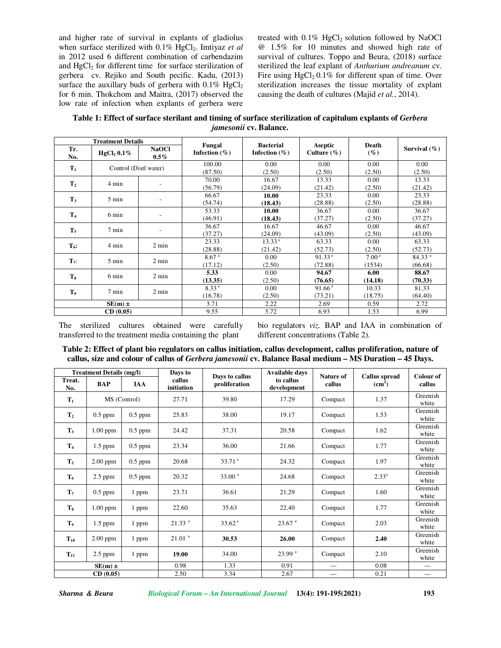and higher rate of survival in explants of gladiolus when surface sterilized with 0.1% HgCl<sub>2</sub>. Imtiyaz *et al* in 2012 used 6 different combination of carbendazim and HgCl<sub>2</sub> for different time for surface sterilization of gerbera cv. Rejiko and South pecific. Kadu, (2013) surface the auxillary buds of gerbera with  $0.1\%$  HgCl<sub>2</sub> for 6 min. Thokchom and Maitra, (2017) observed the low rate of infection when explants of gerbera were treated with  $0.1\%$  HgCl<sub>2</sub> solution followed by NaOCl @ 1.5% for 10 minutes and showed high rate of survival of cultures. Toppo and Beura, (2018) surface sterilized the leaf explant of *Anthurium andreanum* cv. Fire using  $HgCl<sub>2</sub> 0.1%$  for different span of time. Over sterilization increases the tissue mortality of explant causing the death of cultures (Majid *et al.*, 2014).

**Table 1: Effect of surface sterilant and timing of surface sterilization of capitulum explants of** *Gerbera jamesonii* **cv. Balance.** 

|                  | <b>Treatment Details</b>  |                         |                             | <b>Bacterial</b>   |                            | Death             | Survival $(\%)$    |
|------------------|---------------------------|-------------------------|-----------------------------|--------------------|----------------------------|-------------------|--------------------|
| Tr.<br>No.       | HgCl <sub>2</sub> $0.1\%$ | <b>NaOCl</b><br>$0.5\%$ | Fungal<br>Infection $(\% )$ | Infection $(\% )$  | Aseptic<br>Culture $(\% )$ | $(\%)$            |                    |
|                  | Control (Distl water)     |                         | 100.00                      | 0.00               | 0.00                       | 0.00              | 0.00               |
| $T_1$            |                           |                         | (87.50)                     | (2.50)             | (2.50)                     | (2.50)            | (2.50)             |
| T <sub>2</sub>   | 4 min                     |                         | 70.00                       | 16.67              | 13.33                      | 0.00              | 13.33              |
|                  |                           |                         | (56.79)                     | (24.09)            | (21.42)                    | (2.50)            | (21.42)            |
| $T_3$            | 5 min                     | $\qquad \qquad -$       | 66.67                       | 10.00              | 23.33                      | 0.00              | 23.33              |
|                  |                           |                         | (54.74)                     | (18.43)            | (28.88)                    | (2.50)            | (28.88)            |
| T <sub>4</sub>   | 6 min                     | $\qquad \qquad -$       | 53.33                       | 10.00              | 36.67                      | 0.00              | 36.67              |
|                  |                           |                         | (46.91)                     | (18.43)            | (37.27)                    | (2.50)            | (37.27)            |
| $T_5$            | 7 min                     | ٠                       | 36.67                       | 16.67              | 46.67                      | 0.00              | 46.67              |
|                  |                           |                         | (37.27)                     | (24.09)            | (43.09)                    | (2.50)            | (43.09)            |
| $T_6$ :          | 4 min                     | $2 \text{ min}$         | 23.33                       | 13.33 <sup>a</sup> | 63.33                      | 0.00              | 63.33              |
|                  |                           |                         | (28.88)                     | (21.42)            | (52.73)                    | (2.50)            | (52.73)            |
| $\mathbf{T}_7$ : | $5 \text{ min}$           | $2 \text{ min}$         | 8.67 <sup>a</sup>           | 0.00               | 91.33 <sup>a</sup>         | 7.00 <sup>a</sup> | 84.33 <sup>a</sup> |
|                  |                           |                         | (17.12)                     | (2.50)             | (72.88)                    | (1534)            | (66.68)            |
| T <sub>s</sub>   | 6 min                     | 2 min                   | 5.33                        | 0.00               | 94.67                      | 6.00              | 88.67              |
|                  |                           |                         | (13.35)                     | (2.50)             | (76.65)                    | (14.18)           | (70.33)            |
| T <sub>9</sub>   | $7 \text{ min}$           | $2 \text{ min}$         | 8.33 <sup>a</sup>           | 0.00               | 91.66 <sup>a</sup>         | 10.33             | 81.33              |
|                  |                           |                         | (16.78)                     | (2.50)             | (73.21)                    | (18.75)           | (64.40)            |
|                  | $SE(m) \pm$               |                         | 3.71                        | 2.22               | 2.69                       | 0.59              | 2.72               |
|                  | CD(0.05)                  |                         | 9.55                        | 5.72               | 6.93                       | 1.53              | 6.99               |

The sterilized cultures obtained were carefully transferred to the treatment media containing the plant

bio regulators *viz.* BAP and IAA in combination of different concentrations (Table 2).

**Table 2: Effect of plant bio regulators on callus initiation, callus development, callus proliferation, nature of callus, size and colour of callus of** *Gerbera jamesonii* **cv. Balance Basal medium – MS Duration – 45 Days.** 

| <b>Treatment Details (mg/l)</b> |              |            | Days to              |                                 | <b>Available days</b>    | Nature of |                                            | Colour of                     |
|---------------------------------|--------------|------------|----------------------|---------------------------------|--------------------------|-----------|--------------------------------------------|-------------------------------|
| Treat.<br>No.                   | BAP          | <b>IAA</b> | callus<br>initiation | Days to callus<br>proliferation | to callus<br>development | callus    | <b>Callus spread</b><br>(cm <sup>2</sup> ) | callus                        |
| $\mathbf{T}_1$                  | MS (Control) |            | 27.71                | 39.80                           | 17.29                    | Compact   | 1.37                                       | Greenish<br>white             |
| T <sub>2</sub>                  | $0.5$ ppm    | $0.5$ ppm  | 25.83                | 38.00                           | 19.17                    | Compact   | 1.53                                       | Greenish<br>white             |
| $T_3$                           | $1.00$ ppm   | $0.5$ ppm  | 24.42                | 37.31                           | 20.58                    | Compact   | 1.62                                       | Greenish<br>white             |
| T <sub>4</sub>                  | $1.5$ ppm    | $0.5$ ppm  | 23.34                | 36.00                           | 21.66                    | Compact   | 1.77                                       | Greenish<br>white             |
| T <sub>5</sub>                  | $2.00$ ppm   | $0.5$ ppm  | 20.68                | 33.71 <sup>a</sup>              | 24.32                    | Compact   | 1.97                                       | Greenish<br>white             |
| $T_6$                           | 2.5 ppm      | $0.5$ ppm  | 20.32                | 33.00 <sup>a</sup>              | 24.68                    | Compact   | $2.33^{a}$                                 | Greenish<br>white             |
| $T_7$                           | $0.5$ ppm    | 1 ppm      | 23.71                | 36.61                           | 21.29                    | Compact   | 1.60                                       | Greenish<br>white             |
| $T_8$                           | $1.00$ ppm   | 1 ppm      | 22.60                | 35.63                           | 22.40                    | Compact   | 1.77                                       | Greenish<br>white             |
| T <sub>9</sub>                  | $1.5$ ppm    | 1 ppm      | 21.33 <sup>a</sup>   | 33.62 <sup>a</sup>              | $23.67$ <sup>a</sup>     | Compact   | 2.03                                       | Greenish<br>white             |
| $T_{10}$                        | $2.00$ ppm   | 1 ppm      | 21.01 <sup>a</sup>   | 30.53                           | 26.00                    | Compact   | 2.40                                       | Greenish<br>white             |
| $T_{11}$                        | $2.5$ ppm    | 1 ppm      | 19.00                | 34.00                           | 23.99 <sup>a</sup>       | Compact   | 2.10                                       | Greenish<br>white             |
| $SE(m) \pm$                     |              |            | 0.98                 | 1.33                            | 0.91                     |           | 0.08                                       |                               |
| CD(0.05)                        |              |            | 2.50                 | 3.34                            | 2.67                     |           | 0.21                                       | $\overbrace{\phantom{13333}}$ |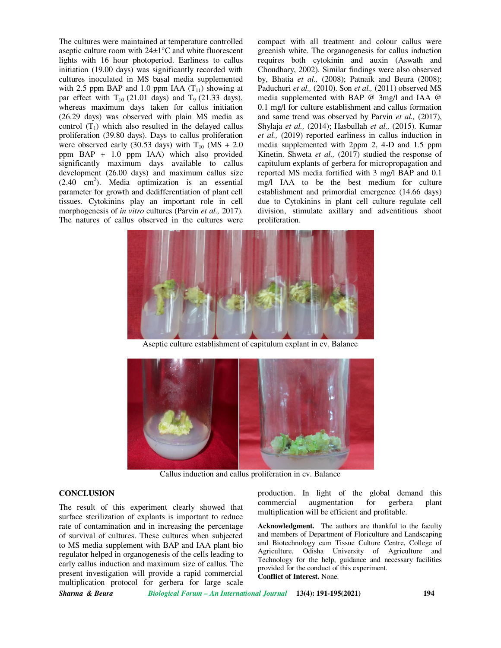The cultures were maintained at temperature controlled aseptic culture room with 24±1°C and white fluorescent lights with 16 hour photoperiod. Earliness to callus initiation (19.00 days) was significantly recorded with cultures inoculated in MS basal media supplemented with 2.5 ppm BAP and 1.0 ppm IAA  $(T_{11})$  showing at par effect with  $T_{10}$  (21.01 days) and  $T_9$  (21.33 days), whereas maximum days taken for callus initiation (26.29 days) was observed with plain MS media as control  $(T_1)$  which also resulted in the delayed callus proliferation (39.80 days). Days to callus proliferation were observed early (30.53 days) with  $T_{10}$  (MS + 2.0) ppm BAP + 1.0 ppm IAA) which also provided significantly maximum days available to callus development (26.00 days) and maximum callus size  $(2.40 \text{ cm}^2)$ . Media optimization is an essential parameter for growth and dedifferentiation of plant cell tissues. Cytokinins play an important role in cell morphogenesis of *in vitro* cultures (Parvin *et al.,* 2017). The natures of callus observed in the cultures were

compact with all treatment and colour callus were greenish white. The organogenesis for callus induction requires both cytokinin and auxin (Aswath and Choudhary, 2002). Similar findings were also observed by, Bhatia *et al.,* (2008); Patnaik and Beura (2008); Paduchuri *et al.,* (2010). Son *et al.,* (2011) observed MS media supplemented with BAP @ 3mg/l and IAA @ 0.1 mg/l for culture establishment and callus formation and same trend was observed by Parvin *et al.,* (2017), Shylaja *et al.,* (2014); Hasbullah *et al.,* (2015). Kumar *et al.,* (2019) reported earliness in callus induction in media supplemented with 2ppm 2, 4-D and 1.5 ppm Kinetin. Shweta *et al.,* (2017) studied the response of capitulum explants of gerbera for micropropagation and reported MS media fortified with 3 mg/l BAP and 0.1 mg/l IAA to be the best medium for culture establishment and primordial emergence (14.66 days) due to Cytokinins in plant cell culture regulate cell division, stimulate axillary and adventitious shoot proliferation.



Aseptic culture establishment of capitulum explant in cv. Balance



Callus induction and callus proliferation in cv. Balance

## **CONCLUSION**

The result of this experiment clearly showed that surface sterilization of explants is important to reduce rate of contamination and in increasing the percentage of survival of cultures. These cultures when subjected to MS media supplement with BAP and IAA plant bio regulator helped in organogenesis of the cells leading to early callus induction and maximum size of callus. The present investigation will provide a rapid commercial multiplication protocol for gerbera for large scale

production. In light of the global demand this commercial augmentation for gerbera plant multiplication will be efficient and profitable.

**Acknowledgment.** The authors are thankful to the faculty and members of Department of Floriculture and Landscaping and Biotechnology cum Tissue Culture Centre, College of Agriculture, Odisha University of Agriculture and Technology for the help, guidance and necessary facilities provided for the conduct of this experiment. **Conflict of Interest.** None.

*Sharma & Beura Biological Forum – An International Journal* **13(4): 191-195(2021) 194**